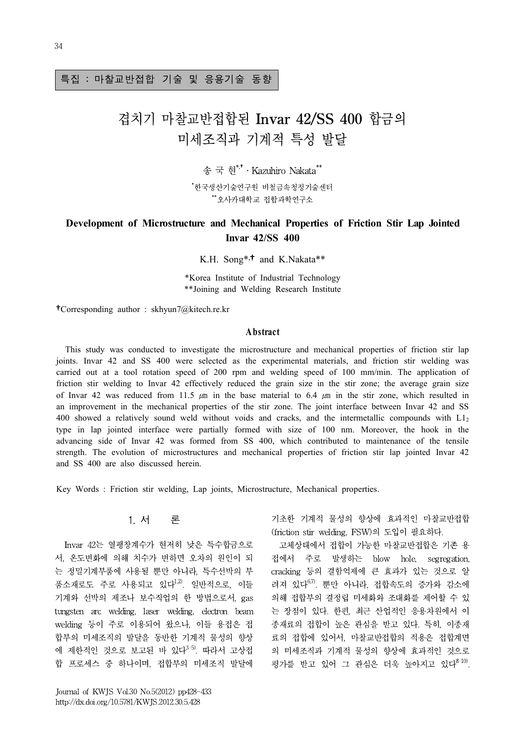#### 특집 : 마찰교반접합 기술 및 응용기술 동향

## 겹치기 마찰교반접합된 Invar 42/SS 400 합금의 미세조직과 기계적 특성 발달

송 국 현 \*,†․Kazuhiro Nakata\*\* \*한국생산기술연구원 비철금속청정기술센터 \*\*오사카대학교 접합과학연구소

# **Development of Microstructure and Mechanical Properties of Friction Stir Lap Jointed**

K.H. Song\*,<sup>†</sup> and K.Nakata\*\*

**Invar 42/SS 400**

\*Korea Institute of Industrial Technology \*\*Joining and Welding Research Institute of Industrial Technology<br>
Velding Research Institute<br> **A bstract**<br>
nicrostructure and mechan

†Corresponding author : skhyun7@kitech.re.kr

 This study was conducted to investigate the microstructure and mechanical properties of friction stir lap joints. Invar 42 and SS 400 were selected as the experimental materials, and friction stir welding was carried out at a tool rotation speed of 200 rpm and welding speed of 100 mm/min. The application of friction stir welding to Invar 42 effectively reduced the grain size in the stir zone; the average grain size of Invar 42 was reduced from 11.5  $\mu$ m in the base material to 6.4  $\mu$ m in the stir zone, which resulted in an improvement in the mechanical properties of the stir zone. The joint interface between Invar 42 and SS 400 showed a relatively sound weld without voids and cracks, and the intermetallic compounds with L1<sup>2</sup> type in lap jointed interface were partially formed with size of 100 nm. Moreover, the hook in the advancing side of Invar 42 was formed from SS 400, which contributed to maintenance of the tensile strength. The evolution of microstructures and mechanical properties of friction stir lap jointed Invar 42 and SS 400 are also discussed herein.

Key Words : Friction stir welding, Lap joints, Microstructure, Mechanical properties.

### 1. 서 론

Invar 42는 열팽창계수가 현저히 낮은 특수합금으로 서, 온도변화에 의해 치수가 변하면 오차의 원인이 되 는 정밀기계부품에 사용될 뿐만 아니라, 특수선박의 부 품소재로도 주로 사용되고 있다<sup>1,2)</sup>. 일반적으로, 이들 기계와 선박의 제조나 보수작업의 한 방법으로서, gas tungsten arc welding, laser welding, electron beam welding 등이 주로 이용되어 왔으나, 이들 용접은 접 합부의 미세조직의 발달을 동반한 기계적 물성의 향상 에 제한적인 것으로 보고된 바 있다<sup>3-5)</sup>. 따라서 고상접 합 프로세스 중 하나이며, 접합부의 미세조직 발달에

기초한 기계적 물성의 향상에 효과적인 마찰교반접합 (friction stir welding, FSW)의 도입이 필요하다.

고체상태에서 접합이 가능한 마찰교반접합은 기존 용 접에서 주로 발생하는 blow hole, segregation, cracking 등의 결함억제에 큰 효과가 있는 것으로 알 려져 있다6,7). 뿐만 아니라, 접합속도의 증가와 감소에 의해 접합부의 결정립 미세화와 조대화를 제어할 수 있 는 장점이 있다. 한편, 최근 산업적인 응용차원에서 이 종재료의 접합이 높은 관심을 받고 있다. 특히, 이종재 료의 접합에 있어서, 마찰교반접합의 적용은 접합계면 의 미세조직과 기계적 물성의 향상에 효과적인 것으로 평가를 받고 있어 그 관심은 더욱 높아지고 있다 $8-10$ .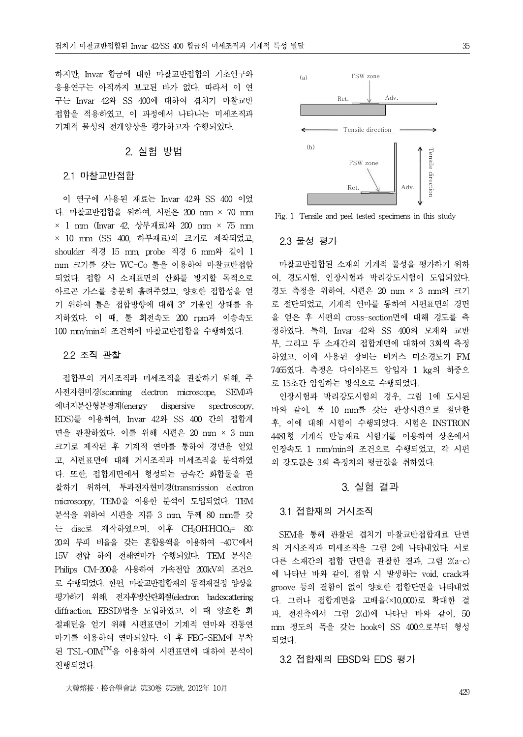하지만, Invar 합금에 대한 마찰교반접합의 기초연구와 응용연구는 아직까지 보고된 바가 없다. 따라서 이 연 구는 Invar 42와 SS 400에 대하여 겹치기 마찰교반 접합을 적용하였고, 이 과정에서 나타나는 미세조직과 기계적 물성의 전개양상을 평가하고자 수행되었다.

#### 2. 실험 방법

#### 2.1 마찰교반접합

이 연구에 사용된 재료는 Invar 42와 SS 400 이었 다. 마찰교반접합을 위하여, 시편은 200 mm × 70 mm  $\times$  1 mm (Invar 42, 상부재료)와 200 mm  $\times$  75 mm × 10 mm (SS 400, 하부재료)의 크기로 제작되었고, shoulder 직경 15 mm, probe 직경 6 mm와 길이 1 mm 크기를 갖는 WC-Co툴을 이용하여 마찰교반접합 되었다. 접합 시 소재표면의 산화를 방지할 목적으로 아르곤 가스를 충분히 흘려주었고, 양호한 접합성을 얻 기 위하여 툴은 접합방향에 대해 3° 기울인 상태를 유 지하였다. 이 때, 툴 회전속도 200 rpm과 이송속도 100 mm/min의 조건하에 마찰교반접합을 수행하였다.

#### 2.2 조직 관찰

접합부의 거시조직과 미세조직을 관찰하기 위해, 주 사전자현미경(scanning electron microscope, SEM)과 에너지분산형분광계(energy dispersive spectroscopy, EDS)를 이용하여, Invar 42와 SS 400 간의 접합계 면을 관찰하였다. 이를 위해 시편은 20 mm × 3 mm 크기로 제작된 후 기계적 연마를 통하여 경면을 얻었 고, 시편표면에 대해 거시조직과 미세조직을 분석하였 다. 또한, 접합계면에서 형성되는 금속간 화합물을 관 찰하기 위하여, 투과전자현미경(transmission electron microscopy, TEM)을 이용한 분석이 도입되었다. TEM 분석을 위하여 시편을 지름 3 mm, 두께 80 mm를 갖 는 disc로 제작하였으며, 이후 CH3OH:HClO4= 80: 20의 부피 비율을 갖는 혼합용액을 이용하여 -40℃에서 15V 전압 하에 전해연마가 수행되었다. TEM 분석은 Philips CM-200을 사용하여 가속전압 200kV의 조건으 로 수행되었다. 한편, 마찰교반접합재의 동적재결정 양상을 평가하기 위해, 전자후방산란회절(electron backscattering diffraction, EBSD)법을 도입하였고, 이 때 양호한 회 절패턴을 얻기 위해 시편표면이 기계적 연마와 진동연 마기를 이용하여 연마되었다. 이 후 FEG-SEM에 부착 된 TSL-OIMTM을 이용하여 시편표면에 대하여 분석이 진행되었다.



(b)

(a) FSW zone

Ret.  $\sqrt{A}$  Adv

Tensile direction

여, 경도시험, 인장시험과 박리강도시험이 도입되었다. 경도 측정을 위하여, 시편은 20 mm × 3 mm의 크기 로 절단되었고, 기계적 연마를 통하여 시편표면의 경면 을 얻은 후 시편의 cross-section면에 대해 경도를 측 정하였다. 특히, Invar 42와 SS 400의 모재와 교반 부, 그리고 두 소재간의 접합계면에 대하여 3회씩 측정 하였고, 이에 사용된 장비는 비커스 미소경도기 FM 7465였다. 측정은 다이아몬드 압입자 1 kg의 하중으 로 15초간 압입하는 방식으로 수행되었다.

인장시험과 박리강도시험의 경우, 그림 1에 도시된 바와 같이, 폭 10 mm를 갖는 판상시편으로 절단한 후, 이에 대해 시험이 수행되었다. 시험은 INSTRON 4481형 기계식 만능재료 시험기를 이용하여 상온에서 인장속도 1 mm/min의 조건으로 수행되었고, 각 시편 의 강도값은 3회 측정치의 평균값을 취하였다.

#### 3. 실험 결과

#### 3.1 접합재의 거시조직

SEM을 통해 관찰된 겹치기 마찰교반접합재료 단면 의 거시조직과 미세조직을 그림 2에 나타내었다. 서로 다른 소재간의 접합 단면을 관찰한 결과, 그림 2(a-c) 에 나타난 바와 같이, 접합 시 발생하는 void, crack과 groove 등의 결함이 없이 양호한 접합단면을 나타내었 다. 그러나 접합계면을 고배율(×10,000)로 확대한 결 과, 전진측에서 그림 2(d)에 나타난 바와 같이, 50 mm 정도의 폭을 갖는 hook이 SS 400으로부터 형성 되었다.

#### 3.2 접합재의 EBSD와 EDS 평가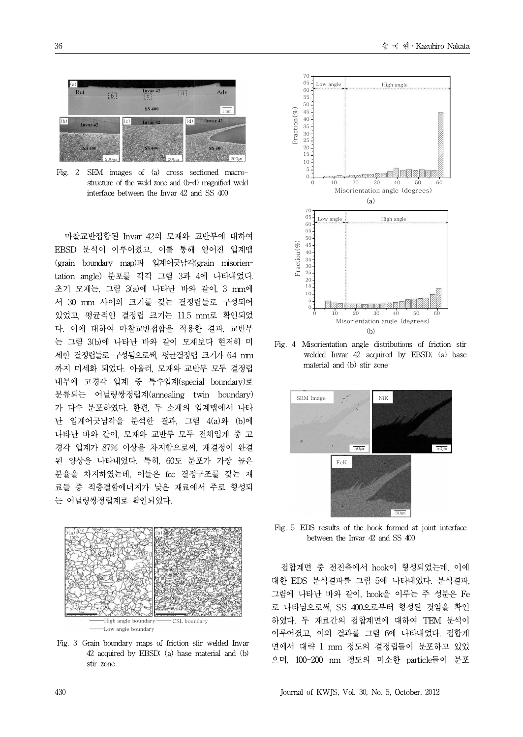

Fig. 2 SEM images of (a) cross sectioned macrostructure of the weld zone and (b-d) magnified weld interface between the Invar 42 and SS 400

마찰교반접합된 Invar 42의 모재와 교반부에 대하여 EBSD 분석이 이루어졌고, 이를 통해 얻어진 입계맵<br>(grain boundary map)과 입계어긋남각(grain misorien-<br>tation angle) 분포를 가가 그린 3과 4에 나타내어다 (grain boundary map)과 입계어긋남각(grain misorientation angle) 분포를 각각 그림 3과 4에 나타내었다. 초기 모재는, 그림 3(a)에 나타난 바와 같이, 3 mm에 서 30 mm 사이의 크기를 갖는 결정립들로 구성되어 있었고, 평균적인 결정립 크기는 11.5 mm로 확인되었 다. 이에 대하여 마찰교반접합을 적용한 결과, 교반부 는 그림 3(b)에 나타난 바와 같이 모재보다 현저히 미 세한 결정립들로 구성됨으로써, 평균결정립 크기가 6.4 mm 까지 미세화 되었다. 아울러, 모재와 교반부 모두 결정립 내부에 고경각 입계 중 특수입계(special boundary)로 분류되는 어닐링쌍정립계(annealing twin boundary) 가 다수 분포하였다. 한편, 두 소재의 입계맵에서 나타 난 입계어긋남각을 분석한 결과, 그림 4(a)와 (b)에 나타난 바와 같이, 모재와 교반부 모두 전체입계 중 고 경각 입계가 87% 이상을 차지함으로써, 재결정이 완결 된 양상을 나타내었다. 특히, 60도 분포가 가장 높은 분율을 차지하였는데, 이들은 fcc 결정구조를 갖는 재 료들 중 적층결함에너지가 낮은 재료에서 주로 형성되 는 어닐링쌍정립계로 확인되었다.



Fig. 3 Grain boundary maps of friction stir welded Invar 42 acquired by EBSD; (a) base material and (b) stir zone



Fig. 4 Misorientation angle distributions of friction stir welded Invar 42 acquired by EBSD; (a) base material and (b) stir zone



Fig. 5 EDS results of the hook formed at joint interface between the Invar 42 and SS 400

접합계면 중 전진측에서 hook이 형성되었는데, 이에 대한 EDS 분석결과를 그림 5에 나타내었다. 분석결과, 그림에 나타난 바와 같이, hook을 이루는 주 성분은 Fe 로 나타남으로써, SS 400으로부터 형성된 것임을 확인 하였다. 두 재료간의 접합계면에 대하여 TEM 분석이 이루어졌고, 이의 결과를 그림 6에 나타내었다. 접합계 면에서 대략 1 mm 정도의 결정립들이 분포하고 있었 으며, 100-200 nm 정도의 미소한 particle들이 분포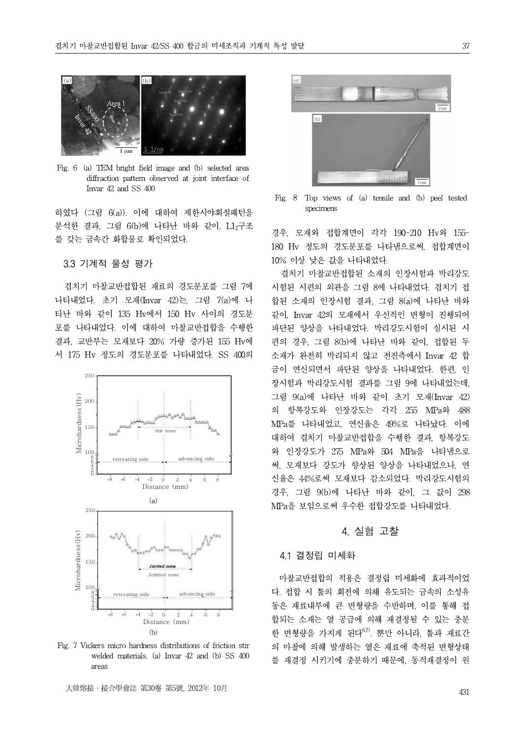

Fig. 6 (a) TEM bright field image and (b) selected area diffraction pattern observed at joint interface of Invar 42 and SS 400

specimens 하였다 (그림 6(a)). 이에 대하여 제한시야회절패턴을 분석한 결과, 그림 6(b)에 나타난 바와 같이, L12구조 를 갖는 금속간 화합물로 확인되었다.

3.3 기계적 물성 평가

겹치기 마찰교반접합된 재료의 경도분포를 그림 7에 나타내었다. 초기 모재(Invar 42)는, 그림 7(a)에 나 타난 바와 같이 135 Hv에서 150 Hv 사이의 경도분 포를 나타내었다. 이에 대하여 마찰교반접합을 수행한 결과, 교반부는 모재보다 20% 가량 증가된 155 Hv에 서 175 Hv 정도의 경도분포를 나타내었다. SS 400의



Fig. 7 Vickers micro hardness distributions of friction stir welded materials. (a) Invar 42 and (b) SS 400 areas



Fig. 8 Top views of (a) tensile and (b) peel tested

경우, 모재와 접합계면이 각각 190-210 Hv와 155- 180 Hv 정도의 경도분포를 나타냄으로써, 접합계면이 10% 이상 낮은 값을 나타내었다.

겹치기 마찰교반접합된 소재의 인장시험과 박리강도 시험된 시편의 외관을 그림 8에 나타내었다. 겹치기 접 합된 소재의 인장시험 결과, 그림 8(a)에 나타난 바와 같이, Invar 42의 모재에서 우선적인 변형이 진행되어 파단된 양상을 나타내었다. 박리강도시험이 실시된 시 편의 경우, 그림 8(b)에 나타난 바와 같이, 접합된 두 소재가 완전히 박리되지 않고 전진측에서 Invar 42 합 금이 연신되면서 파단된 양상을 나타내었다. 한편, 인 장시험과 박리강도시험 결과를 그림 9에 나타내었는데, 그림 9(a)에 나타난 바와 같이 초기 모재(Invar 42) 의 항복강도와 인장강도는 각각 255 MPa와 488 MPa를 나타내었고, 연신율은 49%로 나타났다. 이에 대하여 겹치기 마찰교반접합을 수행한 결과, 항복강도 와 인장강도가 275 MPa와 504 MPa을 나타냄으로 써, 모재보다 강도가 향상된 양상을 나타내었으나, 연 신율은 44%로써 모재보다 감소되었다. 박리강도시험의 경우, 그림 9(b)에 나타난 바와 같이, 그 값이 298 MPa을 보임으로써 우수한 접합강도를 나타내었다.

#### 4. 실험 고찰

#### 4.1 결정립 미세화

마찰교반접합의 적용은 결정립 미세화에 효과적이었 다. 접합 시 툴의 회전에 의해 유도되는 금속의 소성유 동은 재료내부에 큰 변형량을 수반하며, 이를 통해 접 합되는 소재는 열 공급에 의해 재결정될 수 있는 충분 한 변형량을 가지게 된다<sup>6,7)</sup>. 뿐만 아니라, 툴과 재료간 의 마찰에 의해 발생하는 열은 재료에 축적된 변형상태 를 재결정 시키기에 충분하기 때문에, 동적재결정이 원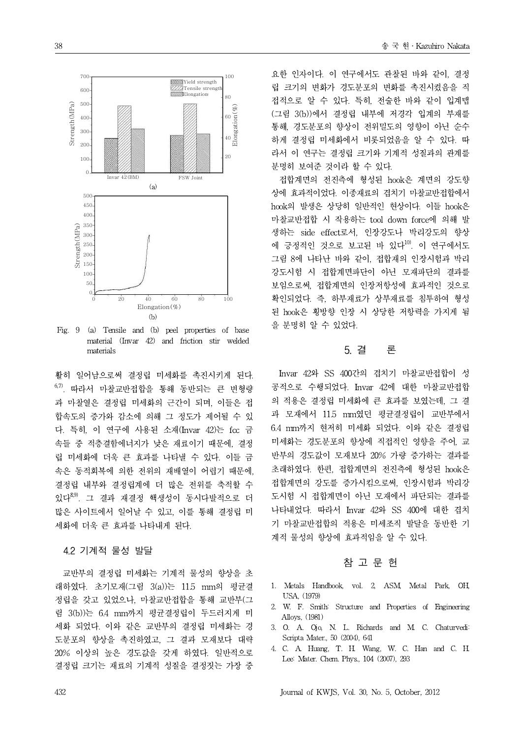

Fig. 9 (a) Tensile and (b) peel properties of base material (Invar 42) and friction stir welded materials

활히 일어남으로써 결정립 미세화를 촉진시키게 된다. 6,7). 따라서 마찰교반접합을 통해 동반되는 큰 변형량 과 마찰열은 결정립 미세화의 근간이 되며,이들은 접 합속도의 증가와 감소에 의해 그 정도가 제어될 수 있 다. 특히, 이 연구에 사용된 소재(Invar 42)는 fcc 금 속들 중 적층결함에너지가 낮은 재료이기 때문에, 결정 립 미세화에 더욱 큰 효과를 나타낼 수 있다. 이들 금 속은 동적회복에 의한 전위의 재배열이 어렵기 때문에, 결정립 내부와 결정립계에 더 많은 전위를 축적할 수 있다8,9). 그 결과 재결정 핵생성이 동시다발적으로 더 많은 사이트에서 일어날 수 있고, 이를 통해 결정립 미 세화에 더욱 큰 효과를 나타내게 된다.

#### 4.2 기계적 물성 발달

교반부의 결정립 미세화는 기계적 물성의 향상을 초 래하였다. 초기모재(그림 3(a))는 11.5 mm의 평균결 정립을 갖고 있었으나, 마찰교반접합을 통해 교반부(그 림 3(b))는 6.4 mm까지 평균결정립이 두드러지게 미 세화 되었다. 이와 같은 교반부의 결정립 미세화는 경 도분포의 향상을 촉진하였고, 그 결과 모재보다 대략 20% 이상의 높은 경도값을 갖게 하였다. 일반적으로 결정립 크기는 재료의 기계적 성질을 결정짓는 가장 중

요한 인자이다. 이 연구에서도 관찰된 바와 같이, 결정 립 크기의 변화가 경도분포의 변화를 촉진시켰음을 직 접적으로 알 수 있다. 특히, 전술한 바와 같이 입계맵 (그림 3(b))에서 결정립 내부에 저경각 입계의 부재를 통해, 경도분포의 향상이 전위밀도의 영향이 아닌 순수 하게 결정립 미세화에서 비롯되었음을 알 수 있다. 따 라서 이 연구는 결정립 크기와 기계적 성질과의 관계를 분명히 보여준 것이라 할 수 있다.

접합계면의 전진측에 형성된 hook은 계면의 강도향 상에 효과적이었다. 이종재료의 겹치기 마찰교반접합에서 hook의 발생은 상당히 일반적인 현상이다. 이들 hook은 마찰교반접합 시 작용하는 tool down force에 의해 발 생하는 side effect로서, 인장강도나 박리강도의 향상 에 긍정적인 것으로 보고된 바 있다10). 이 연구에서도 그림 8에 나타난 바와 같이, 접합재의 인장시험과 박리 강도시험 시 접합계면파단이 아닌 모재파단의 결과를 보임으로써, 접합계면의 인장저항성에 효과적인 것으로 확인되었다. 즉, 하부재료가 상부재료를 침투하여 형성 된 hook은 횡방향 인장 시 상당한 저항력을 가지게 됨 을 분명히 알 수 있었다.

#### 5. 결 론

Invar 42와 SS 400간의 겹치기 마찰교반접합이 성 공적으로 수행되었다. Invar 42에 대한 마찰교반접합 의 적용은 결정립 미세화에 큰 효과를 보였는데, 그 결 과 모재에서 11.5 mm였던 평균결정립이 교반부에서 6.4 mm까지 현저히 미세화 되었다. 이와 같은 결정립 미세화는 경도분포의 향상에 직접적인 영향을 주어, 교 반부의 경도값이 모재보다 20% 가량 증가하는 결과를 초래하였다. 한편, 접합계면의 전진측에 형성된 hook은 접합계면의 강도를 증가시킴으로써, 인장시험과 박리강 도시험 시 접합계면이 아닌 모재에서 파단되는 결과를 나타내었다. 따라서 Invar 42와 SS 400에 대한 겹치 기 마찰교반접합의 적용은 미세조직 발달을 동반한 기 계적 물성의 향상에 효과적임을 알 수 있다.

#### 참 고 문 헌

- 1. Metals Handbook, vol. 2, ASM, Metal Park, OH, USA, (1979)
- 2. W. F. Smith: Structure and Properties of Engineering Alloys, (1981)
- 3. O. A. Ojo, N. L. Richards and M. C. Chaturvedi: Scripta Mater., 50 (2004), 641
- 4. C. A. Huang, T. H. Wang, W. C. Han and C. H. Lee: Mater. Chem. Phys., 104 (2007), 293